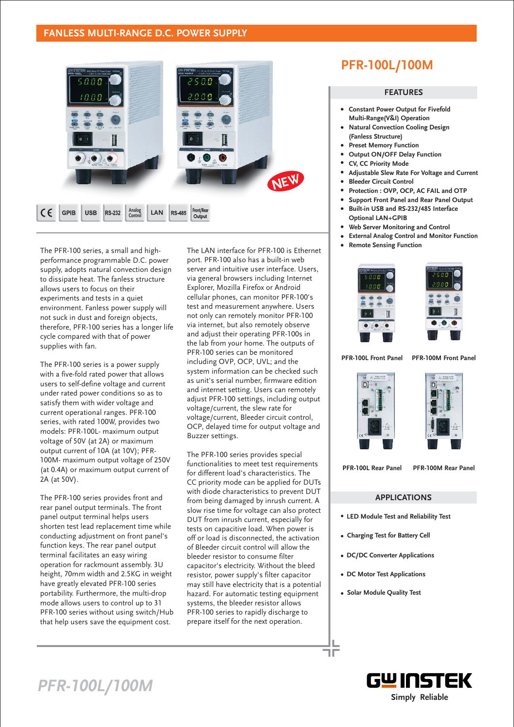## **FANLESS MULTI-RANGE D.C. POWER SUPPLY**



The PFR-100 series, a small and highperformance programmable D.C. power supply, adopts natural convection design to dissipate heat. The fanless structure allows users to focus on their experiments and tests in a quiet environment. Fanless power supply will not suck in dust and foreign objects, therefore, PFR-100 series has a longer life cycle compared with that of power supplies with fan.

The PFR-100 series is a power supply with a five-fold rated power that allows users to self-define voltage and current under rated power conditions so as to satisfy them with wider voltage and current operational ranges. PFR-100 series, with rated 100W, provides two models: PFR-100L- maximum output voltage of 50V (at 2A) or maximum output current of 10A (at 10V); PFR-100M- maximum output voltage of 250V (at 0.4A) or maximum output current of 2A (at 50V).

The PFR-100 series provides front and rear panel output terminals. The front panel output terminal helps users shorten test lead replacement time while conducting adjustment on front panel's function keys. The rear panel output terminal facilitates an easy wiring operation for rackmount assembly. 3U height, 70mm width and 2.5KG in weight have greatly elevated PFR-100 series portability. Furthermore, the multi-drop mode allows users to control up to 31 PFR-100 series without using switch/Hub that help users save the equipment cost.

The LAN interface for PFR-100 is Ethernet port. PFR-100 also has a built-in web server and intuitive user interface. Users, via general browsers including Internet Explorer, Mozilla Firefox or Android cellular phones, can monitor PFR-100's test and measurement anywhere. Users not only can remotely monitor PFR-100 via internet, but also remotely observe and adjust their operating PFR-100s in the lab from your home. The outputs of PFR-100 series can be monitored including OVP, OCP, UVL; and the system information can be checked such as unit's serial number, firmware edition and internet setting. Users can remotely adjust PFR-100 settings, including output voltage/current, the slew rate for voltage/current, Bleeder circuit control, OCP, delayed time for output voltage and Buzzer settings.

The PFR-100 series provides special functionalities to meet test requirements for different load's characteristics. The CC priority mode can be applied for DUTs with diode characteristics to prevent DUT from being damaged by inrush current. A slow rise time for voltage can also protect DUT from inrush current, especially for tests on capacitive load. When power is off or load is disconnected, the activation of Bleeder circuit control will allow the bleeder resistor to consume filter capacitor's electricity. Without the bleed resistor, power supply's filter capacitor may still have electricity that is a potential hazard. For automatic testing equipment systems, the bleeder resistor allows PFR-100 series to rapidly discharge to prepare itself for the next operation.

# **PFR-100L/100M**

### ㈵ **FEATURES**

- **Constant Power Output for Fivefold Multi-Range(V&I) Operation**
- **Natural Convection Cooling Design (Fanless Structure)**
- **Preset Memory Function**
- **Output ON/OFF Delay Function**
- **CV, CC Priority Mode**
- **Adjustable Slew Rate For Voltage and Current**
- **Bleeder Circuit Control**
- **Protection : OVP, OCP, AC FAIL and OTP**
- **Support Front Panel and Rear Panel Output**
- **Built-in USB and RS-232/485 Interface Optional LAN+GPIB**
- **Web Server Monitoring and Control**
- **External Analog Control and Monitor Function**
- **Remote Sensing Function**





**PFR-100L Front Panel PFR-100M Front Panel**





**PFR-100L Rear Panel PFR-100M Rear Panel**

### **APPLICATIONS**

- **LED Module Test and Reliability Test**
- **Charging Test for Battery Cell**
- **DC/DC Converter Applications**
- **DC Motor Test Applications**
- **Solar Module Quality Test**